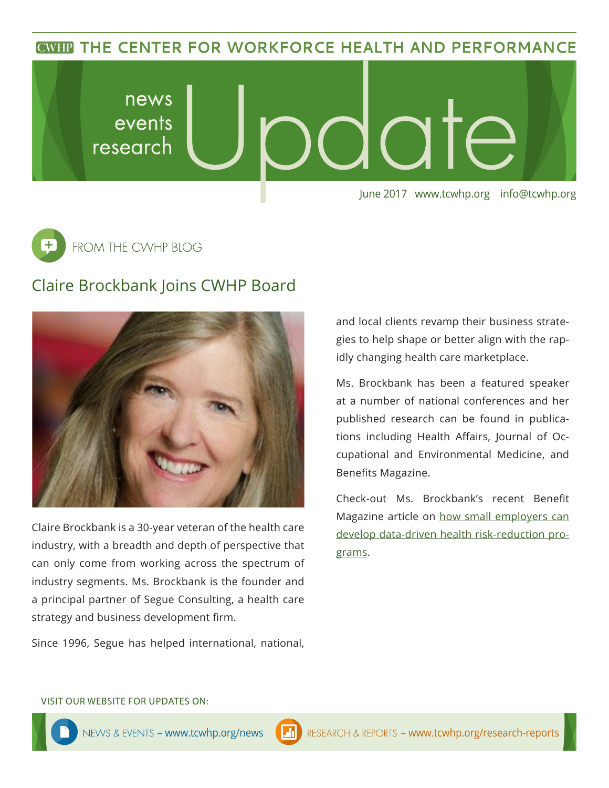**CWHP THE CENTER FOR WORKFORCE HEALTH AND PERFORMANCE** 



 $\overline{\texttt{+}}$ FROM THE CWHP BLOG

## Claire Brockbank Joins CWHP Board



Claire Brockbank is a 30-year veteran of the health care industry, with a breadth and depth of perspective that can only come from working across the spectrum of industry segments. Ms. Brockbank is the founder and a principal partner of Segue Consulting, a health care strategy and business development firm.

Since 1996, Segue has helped international, national,

and local clients revamp their business strategies to help shape or better align with the rapidly changing health care marketplace.

Ms. Brockbank has been a featured speaker at a number of national conferences and her published research can be found in publications including Health Affairs, Journal of Occupational and Environmental Medicine, and Benefits Magazine.

Check-out Ms. Brockbank's recent Benefit Magazine article on [how small employers can](https://drive.google.com/file/d/0B3TV_J8Au1y-SVV1WUc4bGlFWW8/view) [develop data-driven health risk-reduction pro](https://drive.google.com/file/d/0B3TV_J8Au1y-SVV1WUc4bGlFWW8/view)[grams.](https://drive.google.com/file/d/0B3TV_J8Au1y-SVV1WUc4bGlFWW8/view)

#### VISIT OUR WEBSITE FOR UPDATES ON: